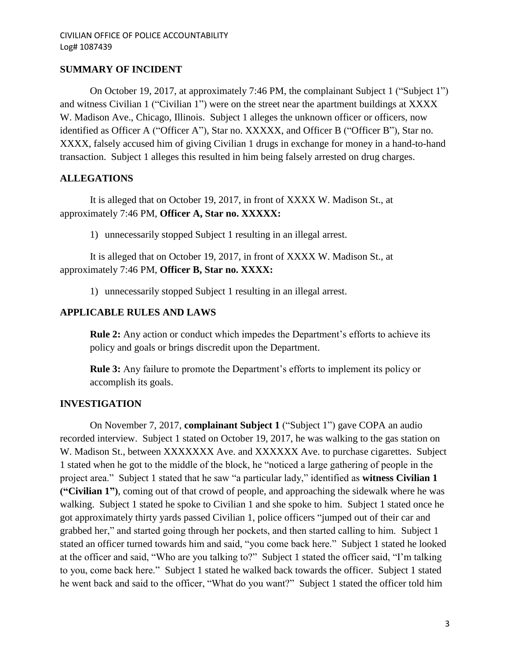## **SUMMARY OF INCIDENT**

On October 19, 2017, at approximately 7:46 PM, the complainant Subject 1 ("Subject 1") and witness Civilian 1 ("Civilian 1") were on the street near the apartment buildings at XXXX W. Madison Ave., Chicago, Illinois. Subject 1 alleges the unknown officer or officers, now identified as Officer A ("Officer A"), Star no. XXXXX, and Officer B ("Officer B"), Star no. XXXX, falsely accused him of giving Civilian 1 drugs in exchange for money in a hand-to-hand transaction. Subject 1 alleges this resulted in him being falsely arrested on drug charges.

## **ALLEGATIONS**

It is alleged that on October 19, 2017, in front of XXXX W. Madison St., at approximately 7:46 PM, **Officer A, Star no. XXXXX:**

1) unnecessarily stopped Subject 1 resulting in an illegal arrest.

It is alleged that on October 19, 2017, in front of XXXX W. Madison St., at approximately 7:46 PM, **Officer B, Star no. XXXX:**

1) unnecessarily stopped Subject 1 resulting in an illegal arrest.

## **APPLICABLE RULES AND LAWS**

**Rule 2:** Any action or conduct which impedes the Department's efforts to achieve its policy and goals or brings discredit upon the Department.

**Rule 3:** Any failure to promote the Department's efforts to implement its policy or accomplish its goals.

### **INVESTIGATION**

On November 7, 2017, **complainant Subject 1** ("Subject 1") gave COPA an audio recorded interview. Subject 1 stated on October 19, 2017, he was walking to the gas station on W. Madison St., between XXXXXXX Ave. and XXXXXX Ave. to purchase cigarettes. Subject 1 stated when he got to the middle of the block, he "noticed a large gathering of people in the project area." Subject 1 stated that he saw "a particular lady," identified as **witness Civilian 1 ("Civilian 1")**, coming out of that crowd of people, and approaching the sidewalk where he was walking. Subject 1 stated he spoke to Civilian 1 and she spoke to him. Subject 1 stated once he got approximately thirty yards passed Civilian 1, police officers "jumped out of their car and grabbed her," and started going through her pockets, and then started calling to him. Subject 1 stated an officer turned towards him and said, "you come back here." Subject 1 stated he looked at the officer and said, "Who are you talking to?" Subject 1 stated the officer said, "I'm talking to you, come back here." Subject 1 stated he walked back towards the officer. Subject 1 stated he went back and said to the officer, "What do you want?" Subject 1 stated the officer told him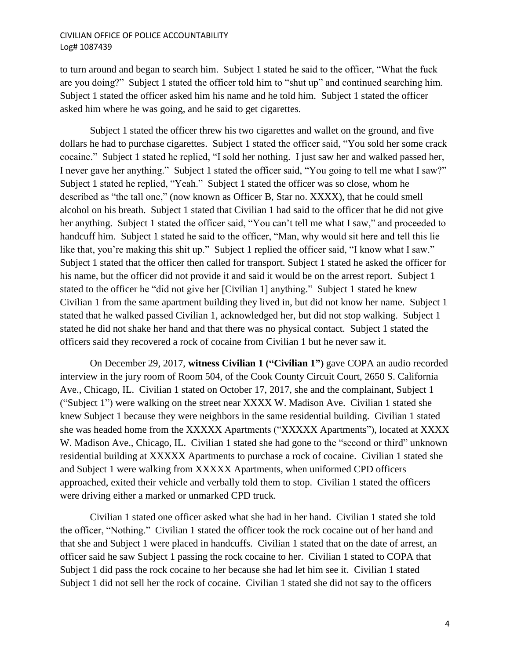#### CIVILIAN OFFICE OF POLICE ACCOUNTABILITY Log# 1087439

to turn around and began to search him. Subject 1 stated he said to the officer, "What the fuck are you doing?" Subject 1 stated the officer told him to "shut up" and continued searching him. Subject 1 stated the officer asked him his name and he told him. Subject 1 stated the officer asked him where he was going, and he said to get cigarettes.

Subject 1 stated the officer threw his two cigarettes and wallet on the ground, and five dollars he had to purchase cigarettes. Subject 1 stated the officer said, "You sold her some crack cocaine." Subject 1 stated he replied, "I sold her nothing. I just saw her and walked passed her, I never gave her anything." Subject 1 stated the officer said, "You going to tell me what I saw?" Subject 1 stated he replied, "Yeah." Subject 1 stated the officer was so close, whom he described as "the tall one," (now known as Officer B, Star no. XXXX), that he could smell alcohol on his breath. Subject 1 stated that Civilian 1 had said to the officer that he did not give her anything. Subject 1 stated the officer said, "You can't tell me what I saw," and proceeded to handcuff him. Subject 1 stated he said to the officer, "Man, why would sit here and tell this lie like that, you're making this shit up." Subject 1 replied the officer said, "I know what I saw." Subject 1 stated that the officer then called for transport. Subject 1 stated he asked the officer for his name, but the officer did not provide it and said it would be on the arrest report. Subject 1 stated to the officer he "did not give her [Civilian 1] anything." Subject 1 stated he knew Civilian 1 from the same apartment building they lived in, but did not know her name. Subject 1 stated that he walked passed Civilian 1, acknowledged her, but did not stop walking. Subject 1 stated he did not shake her hand and that there was no physical contact. Subject 1 stated the officers said they recovered a rock of cocaine from Civilian 1 but he never saw it.

On December 29, 2017, **witness Civilian 1 ("Civilian 1")** gave COPA an audio recorded interview in the jury room of Room 504, of the Cook County Circuit Court, 2650 S. California Ave., Chicago, IL. Civilian 1 stated on October 17, 2017, she and the complainant, Subject 1 ("Subject 1") were walking on the street near XXXX W. Madison Ave. Civilian 1 stated she knew Subject 1 because they were neighbors in the same residential building. Civilian 1 stated she was headed home from the XXXXX Apartments ("XXXXX Apartments"), located at XXXX W. Madison Ave., Chicago, IL. Civilian 1 stated she had gone to the "second or third" unknown residential building at XXXXX Apartments to purchase a rock of cocaine. Civilian 1 stated she and Subject 1 were walking from XXXXX Apartments, when uniformed CPD officers approached, exited their vehicle and verbally told them to stop. Civilian 1 stated the officers were driving either a marked or unmarked CPD truck.

Civilian 1 stated one officer asked what she had in her hand. Civilian 1 stated she told the officer, "Nothing." Civilian 1 stated the officer took the rock cocaine out of her hand and that she and Subject 1 were placed in handcuffs. Civilian 1 stated that on the date of arrest, an officer said he saw Subject 1 passing the rock cocaine to her. Civilian 1 stated to COPA that Subject 1 did pass the rock cocaine to her because she had let him see it. Civilian 1 stated Subject 1 did not sell her the rock of cocaine. Civilian 1 stated she did not say to the officers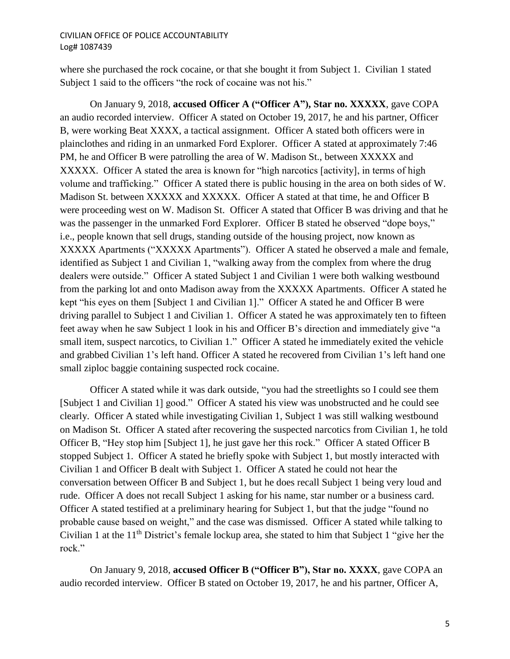#### CIVILIAN OFFICE OF POLICE ACCOUNTABILITY Log# 1087439

where she purchased the rock cocaine, or that she bought it from Subject 1. Civilian 1 stated Subject 1 said to the officers "the rock of cocaine was not his."

On January 9, 2018, **accused Officer A ("Officer A"), Star no. XXXXX**, gave COPA an audio recorded interview. Officer A stated on October 19, 2017, he and his partner, Officer B, were working Beat XXXX, a tactical assignment. Officer A stated both officers were in plainclothes and riding in an unmarked Ford Explorer. Officer A stated at approximately 7:46 PM, he and Officer B were patrolling the area of W. Madison St., between XXXXX and XXXXX. Officer A stated the area is known for "high narcotics [activity], in terms of high volume and trafficking." Officer A stated there is public housing in the area on both sides of W. Madison St. between XXXXX and XXXXX. Officer A stated at that time, he and Officer B were proceeding west on W. Madison St. Officer A stated that Officer B was driving and that he was the passenger in the unmarked Ford Explorer. Officer B stated he observed "dope boys," i.e., people known that sell drugs, standing outside of the housing project, now known as XXXXX Apartments ("XXXXX Apartments"). Officer A stated he observed a male and female, identified as Subject 1 and Civilian 1, "walking away from the complex from where the drug dealers were outside." Officer A stated Subject 1 and Civilian 1 were both walking westbound from the parking lot and onto Madison away from the XXXXX Apartments. Officer A stated he kept "his eyes on them [Subject 1 and Civilian 1]." Officer A stated he and Officer B were driving parallel to Subject 1 and Civilian 1. Officer A stated he was approximately ten to fifteen feet away when he saw Subject 1 look in his and Officer B's direction and immediately give "a small item, suspect narcotics, to Civilian 1." Officer A stated he immediately exited the vehicle and grabbed Civilian 1's left hand. Officer A stated he recovered from Civilian 1's left hand one small ziploc baggie containing suspected rock cocaine.

Officer A stated while it was dark outside, "you had the streetlights so I could see them [Subject 1 and Civilian 1] good." Officer A stated his view was unobstructed and he could see clearly. Officer A stated while investigating Civilian 1, Subject 1 was still walking westbound on Madison St. Officer A stated after recovering the suspected narcotics from Civilian 1, he told Officer B, "Hey stop him [Subject 1], he just gave her this rock." Officer A stated Officer B stopped Subject 1. Officer A stated he briefly spoke with Subject 1, but mostly interacted with Civilian 1 and Officer B dealt with Subject 1. Officer A stated he could not hear the conversation between Officer B and Subject 1, but he does recall Subject 1 being very loud and rude. Officer A does not recall Subject 1 asking for his name, star number or a business card. Officer A stated testified at a preliminary hearing for Subject 1, but that the judge "found no probable cause based on weight," and the case was dismissed. Officer A stated while talking to Civilian 1 at the  $11<sup>th</sup>$  District's female lockup area, she stated to him that Subject 1 "give her the rock."

On January 9, 2018, **accused Officer B ("Officer B"), Star no. XXXX**, gave COPA an audio recorded interview. Officer B stated on October 19, 2017, he and his partner, Officer A,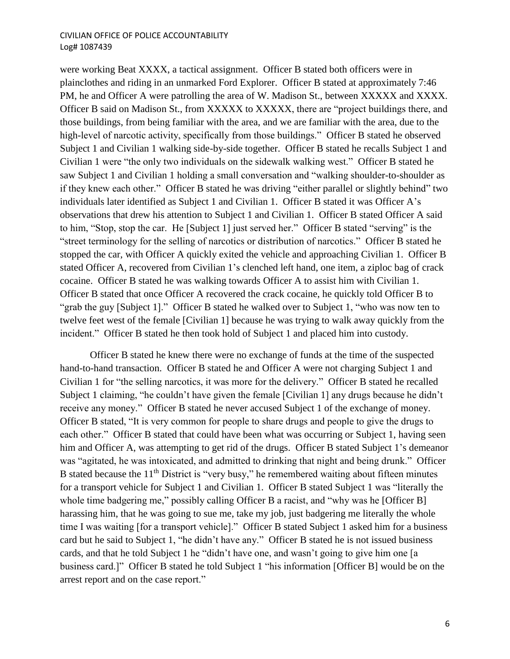#### CIVILIAN OFFICE OF POLICE ACCOUNTABILITY Log# 1087439

were working Beat XXXX, a tactical assignment. Officer B stated both officers were in plainclothes and riding in an unmarked Ford Explorer. Officer B stated at approximately 7:46 PM, he and Officer A were patrolling the area of W. Madison St., between XXXXX and XXXX. Officer B said on Madison St., from XXXXX to XXXXX, there are "project buildings there, and those buildings, from being familiar with the area, and we are familiar with the area, due to the high-level of narcotic activity, specifically from those buildings." Officer B stated he observed Subject 1 and Civilian 1 walking side-by-side together. Officer B stated he recalls Subject 1 and Civilian 1 were "the only two individuals on the sidewalk walking west." Officer B stated he saw Subject 1 and Civilian 1 holding a small conversation and "walking shoulder-to-shoulder as if they knew each other." Officer B stated he was driving "either parallel or slightly behind" two individuals later identified as Subject 1 and Civilian 1. Officer B stated it was Officer A's observations that drew his attention to Subject 1 and Civilian 1. Officer B stated Officer A said to him, "Stop, stop the car. He [Subject 1] just served her." Officer B stated "serving" is the "street terminology for the selling of narcotics or distribution of narcotics." Officer B stated he stopped the car, with Officer A quickly exited the vehicle and approaching Civilian 1. Officer B stated Officer A, recovered from Civilian 1's clenched left hand, one item, a ziploc bag of crack cocaine. Officer B stated he was walking towards Officer A to assist him with Civilian 1. Officer B stated that once Officer A recovered the crack cocaine, he quickly told Officer B to "grab the guy [Subject 1]." Officer B stated he walked over to Subject 1, "who was now ten to twelve feet west of the female [Civilian 1] because he was trying to walk away quickly from the incident." Officer B stated he then took hold of Subject 1 and placed him into custody.

Officer B stated he knew there were no exchange of funds at the time of the suspected hand-to-hand transaction. Officer B stated he and Officer A were not charging Subject 1 and Civilian 1 for "the selling narcotics, it was more for the delivery." Officer B stated he recalled Subject 1 claiming, "he couldn't have given the female [Civilian 1] any drugs because he didn't receive any money." Officer B stated he never accused Subject 1 of the exchange of money. Officer B stated, "It is very common for people to share drugs and people to give the drugs to each other." Officer B stated that could have been what was occurring or Subject 1, having seen him and Officer A, was attempting to get rid of the drugs. Officer B stated Subject 1's demeanor was "agitated, he was intoxicated, and admitted to drinking that night and being drunk." Officer B stated because the 11<sup>th</sup> District is "very busy," he remembered waiting about fifteen minutes for a transport vehicle for Subject 1 and Civilian 1. Officer B stated Subject 1 was "literally the whole time badgering me," possibly calling Officer B a racist, and "why was he [Officer B] harassing him, that he was going to sue me, take my job, just badgering me literally the whole time I was waiting [for a transport vehicle]." Officer B stated Subject 1 asked him for a business card but he said to Subject 1, "he didn't have any." Officer B stated he is not issued business cards, and that he told Subject 1 he "didn't have one, and wasn't going to give him one [a business card.]" Officer B stated he told Subject 1 "his information [Officer B] would be on the arrest report and on the case report."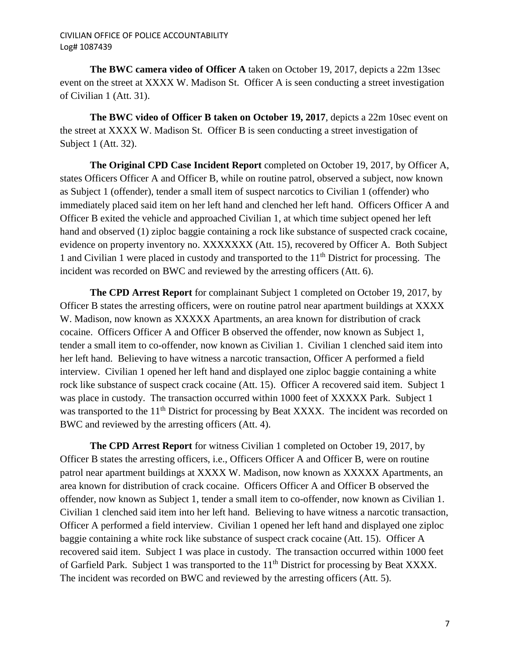**The BWC camera video of Officer A** taken on October 19, 2017, depicts a 22m 13sec event on the street at XXXX W. Madison St. Officer A is seen conducting a street investigation of Civilian 1 (Att. 31).

**The BWC video of Officer B taken on October 19, 2017**, depicts a 22m 10sec event on the street at XXXX W. Madison St. Officer B is seen conducting a street investigation of Subject 1 (Att. 32).

**The Original CPD Case Incident Report** completed on October 19, 2017, by Officer A, states Officers Officer A and Officer B, while on routine patrol, observed a subject, now known as Subject 1 (offender), tender a small item of suspect narcotics to Civilian 1 (offender) who immediately placed said item on her left hand and clenched her left hand. Officers Officer A and Officer B exited the vehicle and approached Civilian 1, at which time subject opened her left hand and observed (1) ziploc baggie containing a rock like substance of suspected crack cocaine, evidence on property inventory no. XXXXXXX (Att. 15), recovered by Officer A. Both Subject 1 and Civilian 1 were placed in custody and transported to the  $11<sup>th</sup>$  District for processing. The incident was recorded on BWC and reviewed by the arresting officers (Att. 6).

**The CPD Arrest Report** for complainant Subject 1 completed on October 19, 2017, by Officer B states the arresting officers, were on routine patrol near apartment buildings at XXXX W. Madison, now known as XXXXX Apartments, an area known for distribution of crack cocaine. Officers Officer A and Officer B observed the offender, now known as Subject 1, tender a small item to co-offender, now known as Civilian 1. Civilian 1 clenched said item into her left hand. Believing to have witness a narcotic transaction, Officer A performed a field interview. Civilian 1 opened her left hand and displayed one ziploc baggie containing a white rock like substance of suspect crack cocaine (Att. 15). Officer A recovered said item. Subject 1 was place in custody. The transaction occurred within 1000 feet of XXXXX Park. Subject 1 was transported to the 11<sup>th</sup> District for processing by Beat XXXX. The incident was recorded on BWC and reviewed by the arresting officers (Att. 4).

**The CPD Arrest Report** for witness Civilian 1 completed on October 19, 2017, by Officer B states the arresting officers, i.e., Officers Officer A and Officer B, were on routine patrol near apartment buildings at XXXX W. Madison, now known as XXXXX Apartments, an area known for distribution of crack cocaine. Officers Officer A and Officer B observed the offender, now known as Subject 1, tender a small item to co-offender, now known as Civilian 1. Civilian 1 clenched said item into her left hand. Believing to have witness a narcotic transaction, Officer A performed a field interview. Civilian 1 opened her left hand and displayed one ziploc baggie containing a white rock like substance of suspect crack cocaine (Att. 15). Officer A recovered said item. Subject 1 was place in custody. The transaction occurred within 1000 feet of Garfield Park. Subject 1 was transported to the 11<sup>th</sup> District for processing by Beat XXXX. The incident was recorded on BWC and reviewed by the arresting officers (Att. 5).